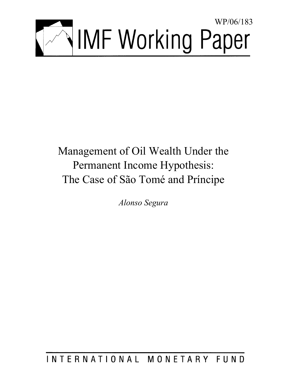

# Management of Oil Wealth Under the Permanent Income Hypothesis: The Case of São Tomé and Príncipe

*Alonso Segura* 

## INTERNATIONAL MONETARY FUND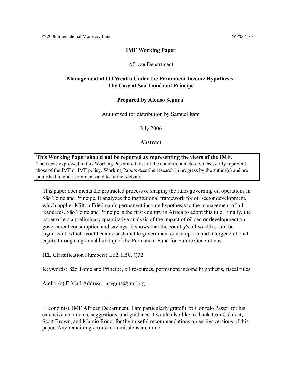#### **IMF Working Paper**

#### African Department

#### **Management of Oil Wealth Under the Permanent Income Hypothesis: The Case of São Tomé and Príncipe**

#### **Prepared by Alonso Segura1**

Authorized for distribution by Samuel Itam

July 2006

#### **Abstract**

**This Working Paper should not be reported as representing the views of the IMF.** The views expressed in this Working Paper are those of the author(s) and do not necessarily represent those of the IMF or IMF policy. Working Papers describe research in progress by the author(s) and are published to elicit comments and to further debate.

This paper documents the protracted process of shaping the rules governing oil operations in São Tomé and Príncipe. It analyzes the institutional framework for oil sector development, which applies Milton Friedman's permanent income hypothesis to the management of oil resources. São Tomé and Príncipe is the first country in Africa to adopt this rule. Finally, the paper offers a preliminary quantitative analysis of the impact of oil sector development on government consumption and savings. It shows that the country's oil wealth could be significant, which would enable sustainable government consumption and intergenerational equity through a gradual buildup of the Permanent Fund for Future Generations.

JEL Classification Numbers: E62, H50, Q32

Keywords: São Tomé and Príncipe, oil resources, permanent income hypothesis, fiscal rules

Author(s) E-Mail Address: asegura@imf.org

1

<sup>&</sup>lt;sup>1</sup> Economist, IMF African Department. I am particularly grateful to Gonzalo Pastor for his extensive comments, suggestions, and guidance. I would also like to thank Jean Clément, Scott Brown, and Marcio Ronci for their useful recommendations on earlier versions of this paper. Any remaining errors and omissions are mine.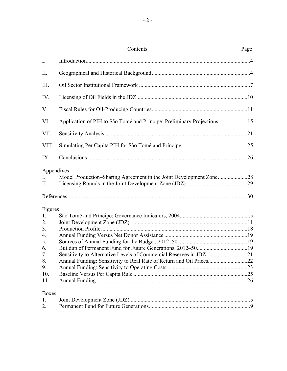|              | Contents                                                                | Page |
|--------------|-------------------------------------------------------------------------|------|
| I.           |                                                                         |      |
| II.          |                                                                         |      |
| III.         |                                                                         |      |
| IV.          |                                                                         |      |
| V.           |                                                                         |      |
| VI.          | Application of PIH to São Tomé and Príncipe: Preliminary Projections 15 |      |
| VII.         |                                                                         |      |
| VIII.        |                                                                         |      |
| IX.          |                                                                         |      |
| Appendixes   |                                                                         |      |
| I.<br>П.     |                                                                         |      |
|              |                                                                         |      |
| Figures      |                                                                         |      |
| 1.           |                                                                         |      |
| 2.           |                                                                         |      |
| 3.           |                                                                         |      |
| 4.           |                                                                         |      |
| 5.           |                                                                         |      |
| 6.           | Sensitivity to Alternative Levels of Commercial Reserves in JDZ 21      |      |
| 7.<br>8.     | Annual Funding: Sensitivity to Real Rate of Return and Oil Prices22     |      |
| 9.           |                                                                         |      |
| 10.          |                                                                         |      |
| 11.          |                                                                         |      |
| <b>Boxes</b> |                                                                         |      |
| 1.           |                                                                         |      |

2. Permanent Fund for Future Generations........................................................................9

- 2 -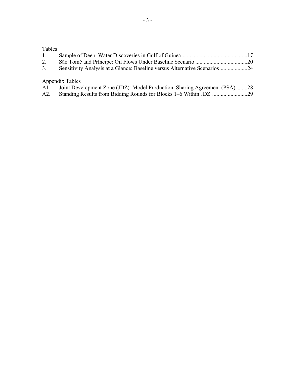### Tables

| 1. |                                                                           |  |
|----|---------------------------------------------------------------------------|--|
| 2. |                                                                           |  |
| 3. | Sensitivity Analysis at a Glance: Baseline versus Alternative Scenarios24 |  |
|    |                                                                           |  |

Appendix Tables

| A1. | Joint Development Zone (JDZ): Model Production–Sharing Agreement (PSA) 28 |  |  |  |  |  |
|-----|---------------------------------------------------------------------------|--|--|--|--|--|
|-----|---------------------------------------------------------------------------|--|--|--|--|--|

A2. Standing Results from Bidding Rounds for Blocks 1–6 Within JDZ .........................29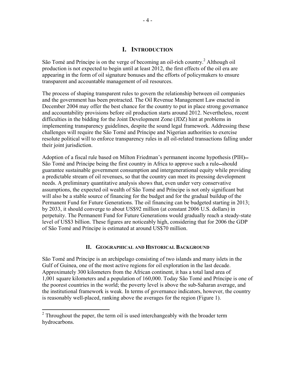#### **I. INTRODUCTION**

São Tomé and Príncipe is on the verge of becoming an oil-rich country.<sup>2</sup> Although oil production is not expected to begin until at least 2012, the first effects of the oil era are appearing in the form of oil signature bonuses and the efforts of policymakers to ensure transparent and accountable management of oil resources.

The process of shaping transparent rules to govern the relationship between oil companies and the government has been protracted. The Oil Revenue Management Law enacted in December 2004 may offer the best chance for the country to put in place strong governance and accountability provisions before oil production starts around 2012. Nevertheless, recent difficulties in the bidding for the Joint Development Zone (JDZ) hint at problems in implementing transparency guidelines, despite the sound legal framework. Addressing these challenges will require the São Tomé and Príncipe and Nigerian authorities to exercise resolute political will to enforce transparency rules in all oil-related transactions falling under their joint jurisdiction.

Adoption of a fiscal rule based on Milton Friedman's permanent income hypothesis (PIH) São Tomé and Príncipe being the first country in Africa to approve such a rule—should guarantee sustainable government consumption and intergenerational equity while providing a predictable stream of oil revenues, so that the country can meet its pressing development needs. A preliminary quantitative analysis shows that, even under very conservative assumptions, the expected oil wealth of São Tomé and Príncipe is not only significant but will also be a stable source of financing for the budget and for the gradual buildup of the Permanent Fund for Future Generations. The oil financing can be budgeted starting in 2013; by 2033, it should converge to about US\$92 million (at constant 2006 U.S. dollars) in perpetuity. The Permanent Fund for Future Generations would gradually reach a steady-state level of US\$3 billion. These figures are noticeably high, considering that for 2006 the GDP of São Tomé and Príncipe is estimated at around US\$70 million.

#### **II. GEOGRAPHICAL AND HISTORICAL BACKGROUND**

São Tomé and Príncipe is an archipelago consisting of two islands and many islets in the Gulf of Guinea, one of the most active regions for oil exploration in the last decade. Approximately 300 kilometers from the African continent, it has a total land area of 1,001 square kilometers and a population of 160,000. Today São Tomé and Príncipe is one of the poorest countries in the world; the poverty level is above the sub-Saharan average, and the institutional framework is weak. In terms of governance indicators, however, the country is reasonably well-placed, ranking above the averages for the region (Figure 1).

<sup>&</sup>lt;sup>2</sup> Throughout the paper, the term oil is used interchangeably with the broader term hydrocarbons.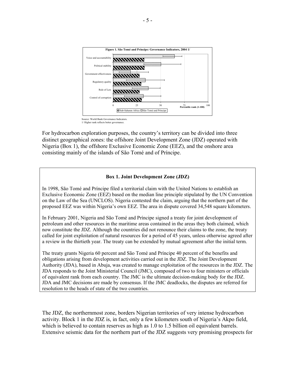

1/ Higher rank reflects better governance.

For hydrocarbon exploration purposes, the country's territory can be divided into three distinct geographical zones: the offshore Joint Development Zone (JDZ) operated with Nigeria (Box 1), the offshore Exclusive Economic Zone (EEZ), and the onshore area consisting mainly of the islands of São Tomé and of Príncipe.

#### **Box 1. Joint Development Zone (JDZ)**

In 1998, São Tomé and Príncipe filed a territorial claim with the United Nations to establish an Exclusive Economic Zone (EEZ) based on the median line principle stipulated by the UN Convention on the Law of the Sea (UNCLOS). Nigeria contested the claim, arguing that the northern part of the proposed EEZ was within Nigeria's own EEZ. The area in dispute covered 34,548 square kilometers.

In February 2001, Nigeria and São Tomé and Príncipe signed a treaty for joint development of petroleum and other resources in the maritime areas contained in the areas they both claimed, which now constitute the JDZ. Although the countries did not renounce their claims to the zone, the treaty called for joint exploitation of natural resources for a period of 45 years, unless otherwise agreed after a review in the thirtieth year. The treaty can be extended by mutual agreement after the initial term.

The treaty grants Nigeria 60 percent and São Tomé and Príncipe 40 percent of the benefits and obligations arising from development activities carried out in the JDZ. The Joint Development Authority (JDA), based in Abuja, was created to manage exploitation of the resources in the JDZ. The JDA responds to the Joint Ministerial Council (JMC), composed of two to four ministers or officials of equivalent rank from each country. The JMC is the ultimate decision-making body for the JDZ. JDA and JMC decisions are made by consensus. If the JMC deadlocks, the disputes are referred for resolution to the heads of state of the two countries.

The JDZ, the northernmost zone, borders Nigerian territories of very intense hydrocarbon activity. Block 1 in the JDZ is, in fact, only a few kilometers south of Nigeria's Akpo field, which is believed to contain reserves as high as 1.0 to 1.5 billion oil equivalent barrels. Extensive seismic data for the northern part of the JDZ suggests very promising prospects for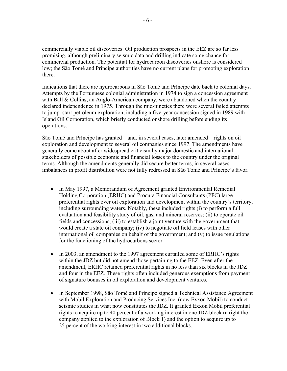commercially viable oil discoveries. Oil production prospects in the EEZ are so far less promising, although preliminary seismic data and drilling indicate some chance for commercial production. The potential for hydrocarbon discoveries onshore is considered low; the São Tomé and Príncipe authorities have no current plans for promoting exploration there.

Indications that there are hydrocarbons in São Tomé and Príncipe date back to colonial days. Attempts by the Portuguese colonial administration in 1974 to sign a concession agreement with Ball & Collins, an Anglo-American company, were abandoned when the country declared independence in 1975. Through the mid-nineties there were several failed attempts to jump–start petroleum exploration, including a five-year concession signed in 1989 with Island Oil Corporation, which briefly conducted onshore drilling before ending its operations.

São Tomé and Príncipe has granted—and, in several cases, later amended—rights on oil exploration and development to several oil companies since 1997. The amendments have generally come about after widespread criticism by major domestic and international stakeholders of possible economic and financial losses to the country under the original terms. Although the amendments generally did secure better terms, in several cases imbalances in profit distribution were not fully redressed in São Tomé and Príncipe's favor.

- In May 1997, a Memorandum of Agreement granted Environmental Remedial Holding Corporation (ERHC) and Procura Financial Consultants (PFC) large preferential rights over oil exploration and development within the country's territory, including surrounding waters. Notably, these included rights (i) to perform a full evaluation and feasibility study of oil, gas, and mineral reserves; (ii) to operate oil fields and concessions; (iii) to establish a joint venture with the government that would create a state oil company; (iv) to negotiate oil field leases with other international oil companies on behalf of the government; and (v) to issue regulations for the functioning of the hydrocarbons sector.
- In 2003, an amendment to the 1997 agreement curtailed some of ERHC's rights within the JDZ but did not amend those pertaining to the EEZ. Even after the amendment, ERHC retained preferential rights in no less than six blocks in the JDZ and four in the EEZ. These rights often included generous exemptions from payment of signature bonuses in oil exploration and development ventures.
- In September 1998, São Tomé and Príncipe signed a Technical Assistance Agreement with Mobil Exploration and Producing Services Inc. (now Exxon Mobil) to conduct seismic studies in what now constitutes the JDZ. It granted Exxon Mobil preferential rights to acquire up to 40 percent of a working interest in one JDZ block (a right the company applied to the exploration of Block 1) and the option to acquire up to 25 percent of the working interest in two additional blocks.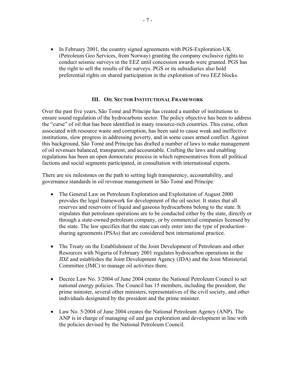• In February 2001, the country signed agreements with PGS-Exploration-UK (Petroleum Geo Services, from Norway) granting the company exclusive rights to conduct seismic surveys in the EEZ until concession awards were granted. PGS has the right to sell the results of the surveys. PGS or its subsidiaries also hold preferential rights on shared participation in the exploration of two EEZ blocks.

#### **III. OIL SECTOR INSTITUTIONAL FRAMEWORK**

Over the past five years, São Tomé and Príncipe has created a number of institutions to ensure sound regulation of the hydrocarbons sector. The policy objective has been to address the "curse" of oil that has been identified in many resource-rich countries. This curse, often associated with resource waste and corruption, has been said to cause weak and ineffective institutions, slow progress in addressing poverty, and in some cases armed conflict. Against this background, São Tomé and Príncipe has drafted a number of laws to make management of oil revenues balanced, transparent, and accountable. Crafting the laws and enabling regulations has been an open democratic process in which representatives from all political factions and social segments participated, in consultation with international experts.

There are six milestones on the path to setting high transparency, accountability, and governance standards in oil revenue management in São Tomé and Príncipe:

- The General Law on Petroleum Exploration and Exploitation of August 2000 provides the legal framework for development of the oil sector. It states that all reserves and reservoirs of liquid and gaseous hydrocarbons belong to the state. It stipulates that petroleum operations are to be conducted either by the state, directly or through a state-owned petroleum company, or by commercial companies licensed by the state. The law specifies that the state can only enter into the type of production– sharing agreements (PSAs) that are considered best international practice.
- The Treaty on the Establishment of the Joint Development of Petroleum and other Resources with Nigeria of February 2001 regulates hydrocarbon operations in the JDZ and establishes the Joint Development Agency (JDA) and the Joint Ministerial Committee (JMC) to manage oil activities there.
- Decree Law No. 3/2004 of June 2004 creates the National Petroleum Council to set national energy policies. The Council has 15 members, including the president, the prime minister, several other ministers, representatives of the civil society, and other individuals designated by the president and the prime minister.
- Law No. 5/2004 of June 2004 creates the National Petroleum Agency (ANP). The ANP is in charge of managing oil and gas exploration and development in line with the policies devised by the National Petroleum Council.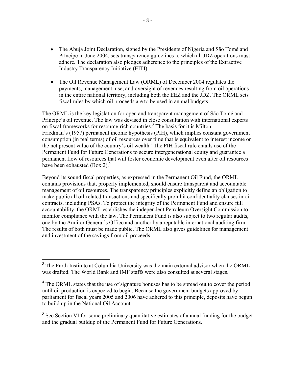- The Abuja Joint Declaration, signed by the Presidents of Nigeria and São Tomé and Príncipe in June 2004, sets transparency guidelines to which all JDZ operations must adhere. The declaration also pledges adherence to the principles of the Extractive Industry Transparency Initiative (EITI).
- The Oil Revenue Management Law (ORML) of December 2004 regulates the payments, management, use, and oversight of revenues resulting from oil operations in the entire national territory, including both the EEZ and the JDZ. The ORML sets fiscal rules by which oil proceeds are to be used in annual budgets.

The ORML is the key legislation for open and transparent management of São Tomé and Príncipe's oil revenue. The law was devised in close consultation with international experts on fiscal frameworks for resource-rich countries.<sup>3</sup> The basis for it is Milton Friedman's (1957) permanent income hypothesis (PIH), which implies constant government consumption (in real terms) of oil resources over time that is equivalent to interest income on the net present value of the country's oil wealth.<sup>4</sup> The PIH fiscal rule entails use of the Permanent Fund for Future Generations to secure intergenerational equity and guarantee a permanent flow of resources that will foster economic development even after oil resources have been exhausted  $(Box 2)$ .<sup>5</sup>

Beyond its sound fiscal properties, as expressed in the Permanent Oil Fund, the ORML contains provisions that, properly implemented, should ensure transparent and accountable management of oil resources. The transparency principles explicitly define an obligation to make public all oil-related transactions and specifically prohibit confidentiality clauses in oil contracts, including PSAs. To protect the integrity of the Permanent Fund and ensure full accountability, the ORML establishes the independent Petroleum Oversight Commission to monitor compliance with the law. The Permanent Fund is also subject to two regular audits, one by the Auditor General's Office and another by a reputable international auditing firm. The results of both must be made public. The ORML also gives guidelines for management and investment of the savings from oil proceeds.

1

 $5$  See Section VI for some preliminary quantitative estimates of annual funding for the budget and the gradual buildup of the Permanent Fund for Future Generations.

<sup>&</sup>lt;sup>3</sup> The Earth Institute at Columbia University was the main external advisor when the ORML was drafted. The World Bank and IMF staffs were also consulted at several stages.

<sup>&</sup>lt;sup>4</sup> The ORML states that the use of signature bonuses has to be spread out to cover the period until oil production is expected to begin. Because the government budgets approved by parliament for fiscal years 2005 and 2006 have adhered to this principle, deposits have begun to build up in the National Oil Account.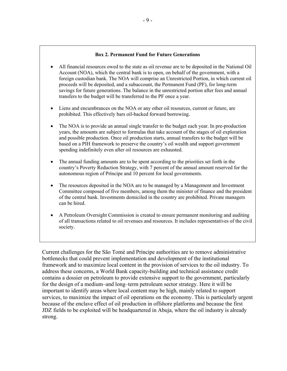#### **Box 2. Permanent Fund for Future Generations**

- All financial resources owed to the state as oil revenue are to be deposited in the National Oil Account (NOA), which the central bank is to open, on behalf of the government, with a foreign custodian bank. The NOA will comprise an Unrestricted Portion, in which current oil proceeds will be deposited, and a subaccount, the Permanent Fund (PF), for long-term savings for future generations. The balance in the unrestricted portion after fees and annual transfers to the budget will be transferred to the PF once a year.
- Liens and encumbrances on the NOA or any other oil resources, current or future, are prohibited. This effectively bars oil-backed forward borrowing.
- The NOA is to provide an annual single transfer to the budget each year. In pre-production years, the amounts are subject to formulas that take account of the stages of oil exploration and possible production. Once oil production starts, annual transfers to the budget will be based on a PIH framework to preserve the country's oil wealth and support government spending indefinitely even after oil resources are exhausted.
- The annual funding amounts are to be spent according to the priorities set forth in the country's Poverty Reduction Strategy, with 7 percent of the annual amount reserved for the autonomous region of Príncipe and 10 percent for local governments.
- The resources deposited in the NOA are to be managed by a Management and Investment Committee composed of five members, among them the minister of finance and the president of the central bank. Investments domiciled in the country are prohibited. Private managers can be hired.
- A Petroleum Oversight Commission is created to ensure permanent monitoring and auditing of all transactions related to oil revenues and resources. It includes representatives of the civil society.

Current challenges for the São Tomé and Príncipe authorities are to remove administrative bottlenecks that could prevent implementation and development of the institutional framework and to maximize local content in the provision of services to the oil industry. To address these concerns, a World Bank capacity-building and technical assistance credit contains a dossier on petroleum to provide extensive support to the government, particularly for the design of a medium–and long–term petroleum sector strategy. Here it will be important to identify areas where local content may be high, mainly related to support services, to maximize the impact of oil operations on the economy. This is particularly urgent because of the enclave effect of oil production in offshore platforms and because the first JDZ fields to be exploited will be headquartered in Abuja, where the oil industry is already strong.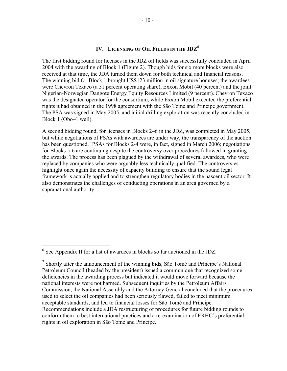#### **IV. LICENSING OF OIL FIELDS IN THE JDZ6**

The first bidding round for licenses in the JDZ oil fields was successfully concluded in April 2004 with the awarding of Block 1 (Figure 2). Though bids for six more blocks were also received at that time, the JDA turned them down for both technical and financial reasons. The winning bid for Block 1 brought US\$123 million in oil signature bonuses; the awardees were Chevron Texaco (a 51 percent operating share), Exxon Mobil (40 percent) and the joint Nigerian-Norwegian Dangote Energy Equity Resources Limited (9 percent). Chevron Texaco was the designated operator for the consortium, while Exxon Mobil executed the preferential rights it had obtained in the 1998 agreement with the São Tomé and Príncipe government. The PSA was signed in May 2005, and initial drilling exploration was recently concluded in Block 1 (Obo–1 well).

A second bidding round, for licenses in Blocks 2–6 in the JDZ, was completed in May 2005, but while negotiations of PSAs with awardees are under way, the transparency of the auction has been questioned.<sup>7</sup> PSAs for Blocks 2-4 were, in fact, signed in March 2006; negotiations for Blocks 5-6 are continuing despite the controversy over procedures followed in granting the awards. The process has been plagued by the withdrawal of several awardees, who were replaced by companies who were arguably less technically qualified. The controversies highlight once again the necessity of capacity building to ensure that the sound legal framework is actually applied and to strengthen regulatory bodies in the nascent oil sector. It also demonstrates the challenges of conducting operations in an area governed by a supranational authority.

<sup>&</sup>lt;sup>6</sup> See Appendix II for a list of awardees in blocks so far auctioned in the JDZ.

<sup>&</sup>lt;sup>7</sup> Shortly after the announcement of the winning bids, São Tomé and Príncipe's National Petroleum Council (headed by the president) issued a communiqué that recognized some deficiencies in the awarding process but indicated it would move forward because the national interests were not harmed. Subsequent inquiries by the Petroleum Affairs Commission, the National Assembly and the Attorney General concluded that the procedures used to select the oil companies had been seriously flawed, failed to meet minimum acceptable standards, and led to financial losses for São Tomé and Príncipe. Recommendations include a JDA restructuring of procedures for future bidding rounds to conform them to best international practices and a re-examination of ERHC's preferential rights in oil exploration in São Tomé and Príncipe.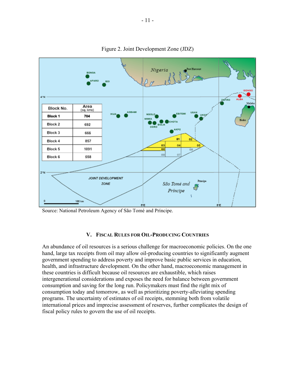

Figure 2. Joint Development Zone (JDZ)

#### **V. FISCAL RULES FOR OIL-PRODUCING COUNTRIES**

An abundance of oil resources is a serious challenge for macroeconomic policies. On the one hand, large tax receipts from oil may allow oil-producing countries to significantly augment government spending to address poverty and improve basic public services in education, health, and infrastructure development. On the other hand, macroeconomic management in these countries is difficult because oil resources are exhaustible, which raises intergenerational considerations and exposes the need for balance between government consumption and saving for the long run. Policymakers must find the right mix of consumption today and tomorrow, as well as prioritizing poverty-alleviating spending programs. The uncertainty of estimates of oil receipts, stemming both from volatile international prices and imprecise assessment of reserves, further complicates the design of fiscal policy rules to govern the use of oil receipts.

Source: National Petroleum Agency of São Tomé and Príncipe.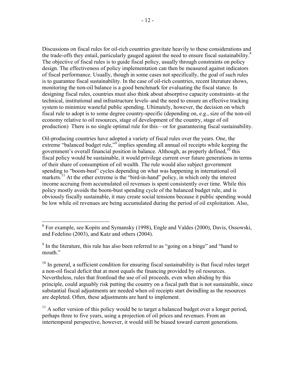Discussions on fiscal rules for oil-rich countries gravitate heavily to these considerations and the trade-offs they entail, particularly gauged against the need to ensure fiscal sustainability.<sup>8</sup> The objective of fiscal rules is to guide fiscal policy, usually through constraints on policy design. The effectiveness of policy implementation can then be measured against indicators of fiscal performance. Usually, though in some cases not specifically, the goal of such rules is to guarantee fiscal sustainability. In the case of oil-rich countries, recent literature shows, monitoring the non-oil balance is a good benchmark for evaluating the fiscal stance. In designing fiscal rules, countries must also think about absorptive capacity constraints–at the technical, institutional and infrastructure levels–and the need to ensure an effective tracking system to minimize wasteful public spending. Ultimately, however, the decision on which fiscal rule to adopt is to some degree country-specific (depending on, e.g., size of the non-oil economy relative to oil resources, stage of development of the country, stage of oil production) There is no single optimal rule for this—or for guaranteeing fiscal sustainability.

Oil-producing countries have adopted a variety of fiscal rules over the years. One, the extreme "balanced budget rule,"<sup>9</sup> implies spending all annual oil receipts while keeping the government's overall financial position in balance. Although, as properly defined,  $10$  this fiscal policy would be sustainable, it would privilege current over future generations in terms of their share of consumption of oil wealth. The rule would also subject government spending to "boom-bust" cycles depending on what was happening in international oil markets.<sup>11</sup> At the other extreme is the "bird-in-hand" policy, in which only the interest income accruing from accumulated oil revenues is spent consistently over time. While this policy mostly avoids the boom-bust spending cycle of the balanced budget rule, and is obviously fiscally sustainable, it may create social tensions because it public spending would be low while oil revenues are being accumulated during the period of oil exploitation. Also,

 $11$  A softer version of this policy would be to target a balanced budget over a longer period, perhaps three to five years, using a projection of oil prices and revenues. From an intertemporal perspective, however, it would still be biased toward current generations.

<sup>&</sup>lt;sup>8</sup> For example, see Kopits and Symansky (1998), Engle and Valdes (2000), Davis, Ossowski, and Fedelino (2003), and Katz and others (2004).

 $9$  In the literature, this rule has also been referred to as "going on a binge" and "hand to mouth"

 $10$  In general, a sufficient condition for ensuring fiscal sustainability is that fiscal rules target a non-oil fiscal deficit that at most equals the financing provided by oil resources. Nevertheless, rules that frontload the use of oil proceeds, even when abiding by this principle, could arguably risk putting the country on a fiscal path that is not sustainable, since substantial fiscal adjustments are needed when oil receipts start dwindling as the resources are depleted. Often, these adjustments are hard to implement.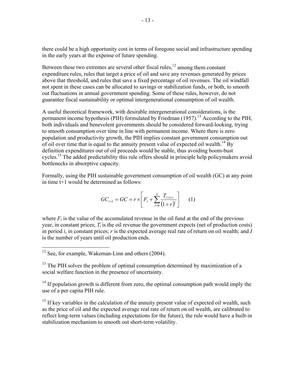there could be a high opportunity cost in terms of foregone social and infrastructure spending in the early years at the expense of future spending.

Between these two extremes are several other fiscal rules, $^{12}$  among them constant expenditure rules, rules that target a price of oil and save any revenues generated by prices above that threshold, and rules that save a fixed percentage of oil revenues. The oil windfall not spent in these cases can be allocated to savings or stabilization funds, or both, to smooth out fluctuations in annual government spending. Some of these rules, however, do not guarantee fiscal sustainability or optimal intergenerational consumption of oil wealth.

A useful theoretical framework, with desirable intergenerational considerations, is the permanent income hypothesis (PIH) formulated by Friedman  $(1957)$ <sup>13</sup> According to the PIH, both individuals and benevolent governments should be considered forward-looking, trying to smooth consumption over time in line with permanent income. Where there is zero population and productivity growth, the PIH implies constant government consumption out of oil over time that is equal to the annuity present value of expected oil wealth.<sup>14</sup> By definition expenditures out of oil proceeds would be stable, thus avoiding boom-bust cycles.<sup>15</sup> The added predictability this rule offers should in principle help policymakers avoid bottlenecks in absorptive capacity.

Formally, using the PIH sustainable government consumption of oil wealth (GC) at any point in time t+1 would be determined as follows:

$$
GC_{t+1} = GC = r \times \left[F_t + \sum_{i=0}^{I} \frac{T_{t+1+i}}{(1+r)^i}\right] \tag{1}
$$

where  $F_t$  is the value of the accumulated revenue in the oil fund at the end of the previous year, in constant prices;  $T_i$  is the oil revenue the government expects (net of production costs) in period *i*, in constant prices; *r* is the expected average real rate of return on oil wealth; and *I* is the number of years until oil production ends.

 $\overline{a}$ 

<sup>13</sup> The PIH solves the problem of optimal consumption determined by maximization of a social welfare function in the presence of uncertainty.

 $14$  If population growth is different from zero, the optimal consumption path would imply the use of a per capita PIH rule.

 $15$  If key variables in the calculation of the annuity present value of expected oil wealth, such as the price of oil and the expected average real rate of return on oil wealth, are calibrated to reflect long-term values (including expectations for the future), the rule would have a built-in stabilization mechanism to smooth out short-term volatility.

 $12$  See, for example, Wakeman-Linn and others (2004).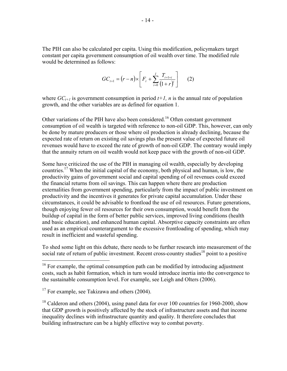The PIH can also be calculated per capita. Using this modification, policymakers target constant per capita government consumption of oil wealth over time. The modified rule would be determined as follows:

$$
GC_{t+1} = (r-n) \times \left[ F_t + \sum_{i=0}^{I} \frac{T_{t+1+i}}{(1+r)^i} \right] \qquad (2)
$$

where  $GC_{t+1}$  is government consumption in period  $t+1$ , *n* is the annual rate of population growth, and the other variables are as defined for equation 1.

Other variations of the PIH have also been considered.<sup>16</sup> Often constant government consumption of oil wealth is targeted with reference to non-oil GDP. This, however, can only be done by mature producers or those where oil production is already declining, because the expected rate of return on existing oil savings plus the present value of expected future oil revenues would have to exceed the rate of growth of non-oil GDP. The contrary would imply that the annuity return on oil wealth would not keep pace with the growth of non-oil GDP.

Some have criticized the use of the PIH in managing oil wealth, especially by developing countries.17 When the initial capital of the economy, both physical and human, is low, the productivity gains of government social and capital spending of oil revenues could exceed the financial returns from oil savings. This can happen where there are production externalities from government spending, particularly from the impact of public investment on productivity and the incentives it generates for private capital accumulation. Under these circumstances, it could be advisable to frontload the use of oil resources. Future generations, though enjoying fewer oil resources for their own consumption, would benefit from the buildup of capital in the form of better public services, improved living conditions (health and basic education), and enhanced human capital. Absorptive capacity constraints are often used as an empirical counterargument to the excessive frontloading of spending, which may result in inefficient and wasteful spending.

To shed some light on this debate, there needs to be further research into measurement of the social rate of return of public investment. Recent cross-country studies<sup>18</sup> point to a positive

1

 $16$  For example, the optimal consumption path can be modified by introducing adjustment costs, such as habit formation, which in turn would introduce inertia into the convergence to the sustainable consumption level. For example, see Leigh and Olters (2006).

 $17$  For example, see Takizawa and others (2004).

<sup>&</sup>lt;sup>18</sup> Calderon and others (2004), using panel data for over 100 countries for 1960-2000, show that GDP growth is positively affected by the stock of infrastructure assets and that income inequality declines with infrastructure quantity and quality. It therefore concludes that building infrastructure can be a highly effective way to combat poverty.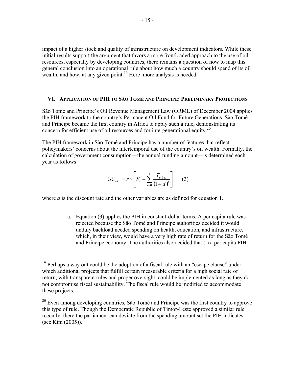impact of a higher stock and quality of infrastructure on development indicators. While these initial results support the argument that favors a more frontloaded approach to the use of oil resources, especially by developing countries, there remains a question of how to map this general conclusion into an operational rule about how much a country should spend of its oil wealth, and how, at any given point.<sup>19</sup> Here more analysis is needed.

#### **VI. APPLICATION OF PIH TO SÃO TOMÉ AND PRÍNCIPE: PRELIMINARY PROJECTIONS**

São Tomé and Príncipe's Oil Revenue Management Law (ORML) of December 2004 applies the PIH framework to the country's Permanent Oil Fund for Future Generations. São Tomé and Príncipe became the first country in Africa to apply such a rule, demonstrating its concern for efficient use of oil resources and for intergenerational equity.<sup>20</sup>

The PIH framework in São Tomé and Príncipe has a number of features that reflect policymakers' concerns about the intertemporal use of the country's oil wealth. Formally, the calculation of government consumption—the annual funding amount—is determined each year as follows:

$$
GC_{t+1} = r \times \left[ F_t + \sum_{i=0}^{I} \frac{T_{t+1+i}}{(1+d)^i} \right] \qquad (3)
$$

where *d* is the discount rate and the other variables are as defined for equation 1.

 $\overline{a}$ 

a. Equation (3) applies the PIH in constant-dollar terms. A per capita rule was rejected because the São Tomé and Príncipe authorities decided it would unduly backload needed spending on health, education, and infrastructure, which, in their view, would have a very high rate of return for the São Tomé and Príncipe economy. The authorities also decided that (i) a per capita PIH

 $19$  Perhaps a way out could be the adoption of a fiscal rule with an "escape clause" under which additional projects that fulfill certain measurable criteria for a high social rate of return, with transparent rules and proper oversight, could be implemented as long as they do not compromise fiscal sustainability. The fiscal rule would be modified to accommodate these projects.

 $20$  Even among developing countries, São Tomé and Príncipe was the first country to approve this type of rule. Though the Democratic Republic of Timor-Leste approved a similar rule recently, there the parliament can deviate from the spending amount set the PIH indicates (see Kim (2005)).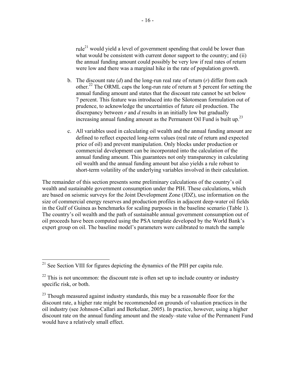rule<sup>21</sup> would yield a level of government spending that could be lower than what would be consistent with current donor support to the country; and (ii) the annual funding amount could possibly be very low if real rates of return were low and there was a marginal hike in the rate of population growth.

- b. The discount rate (*d*) and the long-run real rate of return (*r*) differ from each other.22 The ORML caps the long-run rate of return at 5 percent for setting the annual funding amount and states that the discount rate cannot be set below 7 percent. This feature was introduced into the Sãotomean formulation out of prudence, to acknowledge the uncertainties of future oil production. The discrepancy between *r* and *d* results in an initially low but gradually increasing annual funding amount as the Permanent Oil Fund is built up.<sup>23</sup>
- c. All variables used in calculating oil wealth and the annual funding amount are defined to reflect expected long-term values (real rate of return and expected price of oil) and prevent manipulation. Only blocks under production or commercial development can be incorporated into the calculation of the annual funding amount. This guarantees not only transparency in calculating oil wealth and the annual funding amount but also yields a rule robust to short-term volatility of the underlying variables involved in their calculation.

The remainder of this section presents some preliminary calculations of the country's oil wealth and sustainable government consumption under the PIH. These calculations, which are based on seismic surveys for the Joint Development Zone (JDZ), use information on the size of commercial energy reserves and production profiles in adjacent deep-water oil fields in the Gulf of Guinea as benchmarks for scaling purposes in the baseline scenario (Table 1). The country's oil wealth and the path of sustainable annual government consumption out of oil proceeds have been computed using the PSA template developed by the World Bank's expert group on oil. The baseline model's parameters were calibrated to match the sample

 $21$  See Section VIII for figures depicting the dynamics of the PIH per capita rule.

 $22$  This is not uncommon: the discount rate is often set up to include country or industry specific risk, or both.

<sup>&</sup>lt;sup>23</sup> Though measured against industry standards, this may be a reasonable floor for the discount rate, a higher rate might be recommended on grounds of valuation practices in the oil industry (see Johnson-Callari and Berkelaar, 2005). In practice, however, using a higher discount rate on the annual funding amount and the steady–state value of the Permanent Fund would have a relatively small effect.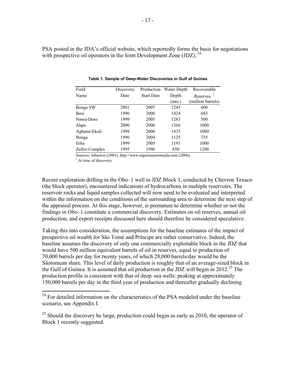PSA posted in the JDA's official website, which reportedly forms the basis for negotiations with prospective oil operators in the Joint Development Zone (JDZ).  $^{24}$ 

| Field          | Discovery | Production        | Water Depth | Recoverable                        |
|----------------|-----------|-------------------|-------------|------------------------------------|
| Name           | Date      | <b>Start Date</b> | Depth       | Reserves <sup><math>1</math></sup> |
|                |           |                   | mts.)       | (million barrels)                  |
| Bonga SW       | 2001      | 2007              | 1245        | 600                                |
| Bosi           | 1996      | 2006              | 1424        | 683                                |
| Nnwa-Doro      | 1999      | 2005              | 1283        | 500                                |
| Akpo           | 2000      | 2006              | 1366        | 1000                               |
| Agbami-Ekoli   | 1998      | 2006              | 1435        | 1000                               |
| Bonga          | 1996      | 2004              | 1125        | 735                                |
| Erha           | 1999      | 2005              | 1191        | 1000                               |
| Zafiro Complex | 1995      | 1996              | 850         | 1200                               |

**Table 1. Sample of Deep-Water Discoveries in Gulf of Guinea**

Sources: Johnston (2003), <http://www.nigeriasaotomejda.com> (2006).

<sup>1</sup> At time of discovery.

1

Recent exploration drilling in the Obo–1 well in JDZ Block 1, conducted by Chevron Texaco (the block operator), encountered indications of hydrocarbons in multiple reservoirs. The reservoir rocks and liquid samples collected will now need to be evaluated and interpreted within the information on the conditions of the surrounding area to determine the next step of the appraisal process. At this stage, however, is premature to determine whether or not the findings in Obo–1 constitute a commercial discovery. Estimates on oil reserves, annual oil production, and export receipts discussed here should therefore be considered speculative.

Taking this into consideration, the assumptions for the baseline estimates of the impact of prospective oil wealth for São Tomé and Príncipe are rather conservative. Indeed, the baseline assumes the discovery of only one commercially exploitable block in the JDZ that would have 500 million equivalent barrels of oil in reserves, equal to production of 70,000 barrels per day for twenty years, of which 28,000 barrels/day would be the Sãotomean share. This level of daily production is roughly that of an average-sized block in the Gulf of Guinea. It is assumed that oil production in the JDZ will begin in 2012.<sup>25</sup> The production profile is consistent with that of deep–sea wells: peaking at approximately 150,000 barrels per day in the third year of production and thereafter gradually declining

 $24$  For detailed information on the characteristics of the PSA modeled under the baseline scenario, see Appendix I.

 $^{25}$  Should the discovery be large, production could begin as early as 2010, the operator of Block 1 recently suggested.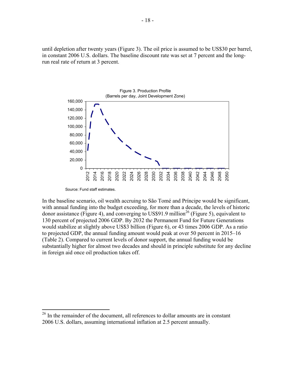until depletion after twenty years (Figure 3). The oil price is assumed to be US\$30 per barrel, in constant 2006 U.S. dollars. The baseline discount rate was set at 7 percent and the longrun real rate of return at 3 percent.



Source: Fund staff estimates.

1

In the baseline scenario, oil wealth accruing to São Tomé and Príncipe would be significant, with annual funding into the budget exceeding, for more than a decade, the levels of historic donor assistance (Figure 4), and converging to US\$91.9 million<sup>26</sup> (Figure 5), equivalent to 130 percent of projected 2006 GDP. By 2032 the Permanent Fund for Future Generations would stabilize at slightly above US\$3 billion (Figure 6), or 43 times 2006 GDP. As a ratio to projected GDP, the annual funding amount would peak at over 50 percent in 2015–16 (Table 2). Compared to current levels of donor support, the annual funding would be substantially higher for almost two decades and should in principle substitute for any decline in foreign aid once oil production takes off.

<sup>&</sup>lt;sup>26</sup> In the remainder of the document, all references to dollar amounts are in constant 2006 U.S. dollars, assuming international inflation at 2.5 percent annually.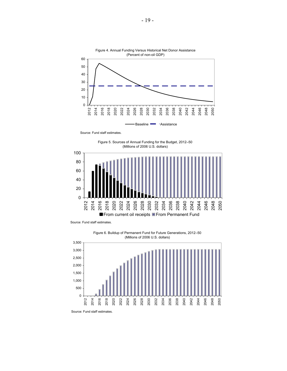

Source: Fund staff estimates.

Figure 5. Sources of Annual Funding for the Budget, 2012–50 (Millions of 2006 U.S. dollars)



Source: Fund staff estimates.

Figure 6. Buildup of Permanent Fund for Future Generations, 2012–50 (Millions of 2006 U.S. dollars)



Source: Fund staff estimates.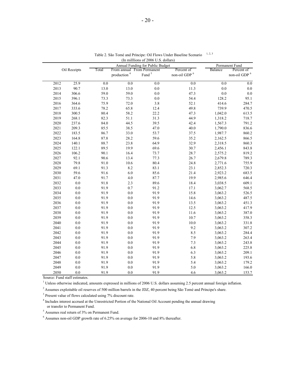|              |      |         | (In imminous of 2000 $\cup$ .5. Gonars)<br>Annual Funding for Public Budget |                            | Permanent Fund    |                    |            |                    |
|--------------|------|---------|-----------------------------------------------------------------------------|----------------------------|-------------------|--------------------|------------|--------------------|
| Oil Receipts |      | Total   |                                                                             | From annual From Permanent | Percent of        | Balance            | Percent of |                    |
|              |      |         |                                                                             | production <sup>4</sup>    | Fund <sup>5</sup> | non-oil GDP $^6\,$ |            | non-oil GDP $^6\,$ |
|              | 2012 | 25.9    | 0.0                                                                         | $0.0\,$                    | 0.0               | 0.0                | 0.0        | 0.0                |
|              | 2013 | 90.7    | 13.0                                                                        | 13.0                       | 0.0               | 11.3               | 0.0        | 0.0                |
|              | 2014 | 306.6   | 59.0                                                                        | 59.0                       | 0.0               | 47.3               | $0.0\,$    | 0.0                |
|              | 2015 | 396.1   | 73.3                                                                        | 73.3                       | $0.0\,$           | 54.4               | 128.2      | 95.1               |
|              | 2016 | 364.6   | 75.9                                                                        | 72.0                       | 3.8               | 52.1               | 414.6      | 284.7              |
|              | 2017 | 333.6   | 78.2                                                                        | 65.8                       | 12.4              | 49.8               | 739.9      | 470.5              |
|              | 2018 | 300.5   | 80.4                                                                        | 58.2                       | 22.2              | 47.3               | 1,042.0    | 613.5              |
|              | 2019 | 268.1   | 82.3                                                                        | 51.1                       | 31.3              | 44.9               | 1,318.2    | 718.7              |
|              | 2020 | 237.6   | 84.0                                                                        | 44.5                       | 39.5              | 42.4               | 1,567.3    | 791.2              |
|              | 2021 | 209.3   | 85.5                                                                        | 38.5                       | 47.0              | 40.0               | 1,790.0    | 836.6              |
|              | 2022 | 183.5   | 86.7                                                                        | 33.0                       | 53.7              | 37.5               | 1,987.7    | 860.2              |
|              | 2023 | 164.8   | 87.8                                                                        | 28.2                       | 59.6              | 35.2               | 2,162.5    | 866.5              |
|              | 2024 | 140.1   | 88.7                                                                        | 23.8                       | 64.9              | 32.9               | 2,318.5    | 860.3              |
|              | 2025 | 122.1   | 89.5                                                                        | 19.9                       | 69.6              | 30.7               | 2,456.1    | 843.8              |
|              | 2026 | 106.2   | 90.1                                                                        | 16.4                       | 73.7              | 28.7               | 2,575.2    | 819.2              |
|              | 2027 | 92.1    | 90.6                                                                        | 13.4                       | 77.3              | 26.7               | 2,679.8    | 789.3              |
|              | 2028 | 79.8    | 91.0                                                                        | 10.6                       | 80.4              | 24.8               | 2,771.6    | 755.9              |
|              | 2029 | 69.1    | 91.3                                                                        | 8.2                        | 83.1              | 23.1               | 2,852.3    | 720.3              |
|              | 2030 | 59.6    | 91.6                                                                        | 6.0                        | 85.6              | 21.4               | 2,923.2    | 683.5              |
|              | 2031 | 47.0    | 91.7                                                                        | $4.0\,$                    | 87.7              | 19.9               | 2,985.6    | 646.4              |
|              | 2032 | $0.0\,$ | 91.8                                                                        | 2.3                        | 89.6              | 18.4               | 3,038.5    | 609.1              |
|              | 2033 | $0.0\,$ | 91.9                                                                        | 0.7                        | 91.2              | 17.1               | 3,062.7    | 568.5              |
|              | 2034 | $0.0\,$ | 91.9                                                                        | 0.0                        | 91.9              | 15.8               | 3,063.2    | 526.5              |
|              | 2035 | $0.0\,$ | 91.9                                                                        | 0.0                        | 91.9              | 14.6               | 3,063.2    | 487.5              |
|              | 2036 | $0.0\,$ | 91.9                                                                        | 0.0                        | 91.9              | 13.5               | 3,063.2    | 451.3              |
|              | 2037 | $0.0\,$ | 91.9                                                                        | $0.0\,$                    | 91.9              | 12.5               | 3,063.2    | 417.9              |
|              | 2038 | $0.0\,$ | 91.9                                                                        | 0.0                        | 91.9              | 11.6               | 3,063.2    | 387.0              |
|              | 2039 | $0.0\,$ | 91.9                                                                        | 0.0                        | 91.9              | 10.7               | 3,063.2    | 358.3              |
|              | 2040 | $0.0\,$ | 91.9                                                                        | 0.0                        | 91.9              | $10.0\,$           | 3,063.2    | 331.8              |
|              | 2041 | $0.0\,$ | 91.9                                                                        | 0.0                        | 91.9              | 9.2                | 3,063.2    | 307.2              |
|              | 2042 | $0.0\,$ | 91.9                                                                        | $0.0\,$                    | 91.9              | 8.5                | 3,063.2    | 284.4              |
|              | 2043 | $0.0\,$ | 91.9                                                                        | 0.0                        | 91.9              | 7.9                | 3,063.2    | 263.4              |
|              | 2044 | $0.0\,$ | 91.9                                                                        | 0.0                        | 91.9              | 7.3                | 3,063.2    | 243.8              |
|              | 2045 | $0.0\,$ | 91.9                                                                        | 0.0                        | 91.9              | 6.8                | 3,063.2    | 225.8              |
|              | 2046 | $0.0\,$ | 91.9                                                                        | 0.0                        | 91.9              | 6.3                | 3,063.2    | 209.1              |
|              | 2047 | $0.0\,$ | 91.9                                                                        | 0.0                        | 91.9              | 5.8                | 3,063.2    | 193.6              |
|              | 2048 | $0.0\,$ | 91.9                                                                        | $0.0\,$                    | 91.9              | 5.4                | 3,063.2    | 179.2              |
|              | 2049 | 0.0     | 91.9                                                                        | 0.0                        | 91.9              | 5.0                | 3,063.2    | 166.0              |
|              | 2050 | 0.0     | 91.9                                                                        | 0.0                        | 91.9              | 4.6                | 3,063.2    | 153.7              |

1, 2, 3 (In milllions of 2006 U.S. dollars) Table 2. São Tomé and Príncipe: Oil Flows Under Baseline Scenario

Source: Fund staff estimates.

<sup>1</sup> Unless otherwise indicated, amounts expressed in millions of 2006 U.S. dollars assuming 2.5 percent annual foreign inflation.

<sup>2</sup> Assumes exploitable oil reserves of 500 million barrels in the JDZ, 40 percent being São Tomé and Príncipe's share.

<sup>3</sup> Present value of flows calculated using 7% discount rate.

<sup>4</sup> Includes interest accrued at the Unrestricted Portion of the National Oil Account pending the annual drawing or transfer to Permanent Fund.

5 Assumes real return of 3% on Permanent Fund.

 $6$  Assumes non-oil GDP growth rate of 6.25% on average for 2006-10 and 8% thereafter.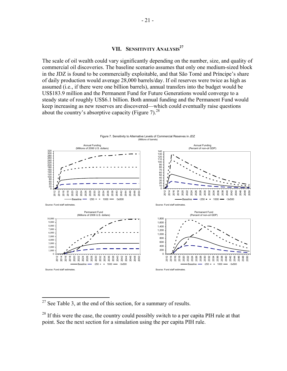#### **VII. SENSITIVITY ANALYSIS<sup>27</sup>**

The scale of oil wealth could vary significantly depending on the number, size, and quality of commercial oil discoveries. The baseline scenario assumes that only one medium-sized block in the JDZ is found to be commercially exploitable, and that São Tomé and Príncipe's share of daily production would average 28,000 barrels/day. If oil reserves were twice as high as assumed (i.e., if there were one billion barrels), annual transfers into the budget would be US\$183.9 million and the Permanent Fund for Future Generations would converge to a steady state of roughly US\$6.1 billion. Both annual funding and the Permanent Fund would keep increasing as new reserves are discovered—which could eventually raise questions about the country's absorptive capacity (Figure 7).<sup>28</sup>



 $2^7$  See Table 3, at the end of this section, for a summary of results.

<sup>&</sup>lt;sup>28</sup> If this were the case, the country could possibly switch to a per capita PIH rule at that point. See the next section for a simulation using the per capita PIH rule.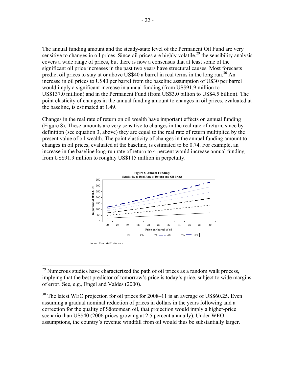The annual funding amount and the steady-state level of the Permanent Oil Fund are very sensitive to changes in oil prices. Since oil prices are highly volatile,  $29$  the sensibility analysis covers a wide range of prices, but there is now a consensus that at least some of the significant oil price increases in the past two years have structural causes. Most forecasts predict oil prices to stay at or above US\$40 a barrel in real terms in the long run.<sup>30</sup> An increase in oil prices to U\$40 per barrel from the baseline assumption of U\$30 per barrel would imply a significant increase in annual funding (from US\$91.9 million to US\$137.0 million) and in the Permanent Fund (from US\$3.0 billion to US\$4.5 billion). The point elasticity of changes in the annual funding amount to changes in oil prices, evaluated at the baseline, is estimated at 1.49.

Changes in the real rate of return on oil wealth have important effects on annual funding (Figure 8). These amounts are very sensitive to changes in the real rate of return, since by definition (see equation 3, above) they are equal to the real rate of return multiplied by the present value of oil wealth. The point elasticity of changes in the annual funding amount to changes in oil prices, evaluated at the baseline, is estimated to be 0.74. For example, an increase in the baseline long-run rate of return to 4 percent would increase annual funding from US\$91.9 million to roughly US\$115 million in perpetuity.



 $29$  Numerous studies have characterized the path of oil prices as a random walk process, implying that the best predictor of tomorrow's price is today's price, subject to wide margins of error. See, e.g., Engel and Valdes (2000).

 $30$  The latest WEO projection for oil prices for 2008–11 is an average of US\$60.25. Even assuming a gradual nominal reduction of prices in dollars in the years following and a correction for the quality of Sãotomean oil, that projection would imply a higher-price scenario than US\$40 (2006 prices growing at 2.5 percent annually). Under WEO assumptions, the country's revenue windfall from oil would thus be substantially larger.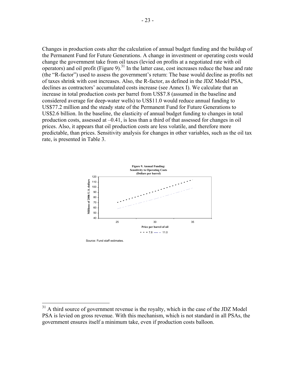Changes in production costs alter the calculation of annual budget funding and the buildup of the Permanent Fund for Future Generations. A change in investment or operating costs would change the government take from oil taxes (levied on profits at a negotiated rate with oil operators) and oil profit (Figure 9).<sup>31</sup> In the latter case, cost increases reduce the base and rate (the "R-factor") used to assess the government's return: The base would decline as profits net of taxes shrink with cost increases. Also, the R-factor, as defined in the JDZ Model PSA, declines as contractors' accumulated costs increase (see Annex I). We calculate that an increase in total production costs per barrel from US\$7.8 (assumed in the baseline and considered average for deep-water wells) to US\$11.0 would reduce annual funding to US\$77.2 million and the steady state of the Permanent Fund for Future Generations to US\$2.6 billion. In the baseline, the elasticity of annual budget funding to changes in total production costs, assessed at –0.41, is less than a third of that assessed for changes in oil prices. Also, it appears that oil production costs are less volatile, and therefore more predictable, than prices. Sensitivity analysis for changes in other variables, such as the oil tax rate, is presented in Table 3.



Source: Fund staff estimates.

 $31$  A third source of government revenue is the royalty, which in the case of the JDZ Model PSA is levied on gross revenue. With this mechanism, which is not standard in all PSAs, the government ensures itself a minimum take, even if production costs balloon.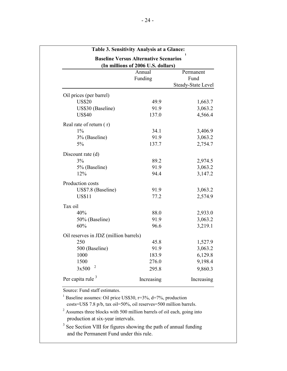|                                       | Annual<br>Funding | Permanent<br>Fund<br><b>Steady-State Level</b> |
|---------------------------------------|-------------------|------------------------------------------------|
|                                       |                   |                                                |
| Oil prices (per barrel)               |                   |                                                |
| <b>US\$20</b>                         | 49.9<br>91.9      | 1,663.7                                        |
| US\$30 (Baseline)<br><b>US\$40</b>    | 137.0             | 3,063.2<br>4,566.4                             |
| Real rate of return $(r)$             |                   |                                                |
| $1\%$                                 | 34.1              | 3,406.9                                        |
| 3% (Baseline)                         | 91.9              | 3,063.2                                        |
| 5%                                    | 137.7             | 2,754.7                                        |
| Discount rate (d)                     |                   |                                                |
| 3%                                    | 89.2              | 2,974.5                                        |
| 5% (Baseline)                         | 91.9              | 3,063.2                                        |
| 12%                                   | 94.4              | 3,147.2                                        |
| Production costs                      |                   |                                                |
| US\$7.8 (Baseline)                    | 91.9              | 3,063.2                                        |
| <b>US\$11</b>                         | 77.2              | 2,574.9                                        |
| Tax oil                               |                   |                                                |
| 40%                                   | 88.0              | 2,933.0                                        |
| 50% (Baseline)                        | 91.9              | 3,063.2                                        |
| 60%                                   | 96.6              | 3,219.1                                        |
| Oil reserves in JDZ (million barrels) |                   |                                                |
| 250                                   | 45.8              | 1,527.9                                        |
| 500 (Baseline)                        | 91.9              | 3,063.2                                        |
| 1000                                  | 183.9             | 6,129.8                                        |
| 1500                                  | 276.0             | 9,198.4                                        |
| 2<br>3x500                            | 295.8             | 9,860.3                                        |
| Per capita rule $3$                   | Increasing        | Increasing                                     |
| Source: Fund staff estimates.         |                   |                                                |

<sup>3</sup> See Section VIII for figures showing the path of annual funding and the Permanent Fund under this rule.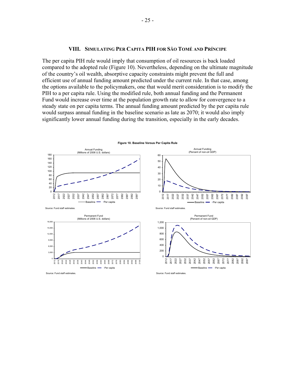#### **VIII. SIMULATING PER CAPITA PIH FOR SÃO TOMÉ AND PRÍNCIPE**

The per capita PIH rule would imply that consumption of oil resources is back loaded compared to the adopted rule (Figure 10). Nevertheless, depending on the ultimate magnitude of the country's oil wealth, absorptive capacity constraints might prevent the full and efficient use of annual funding amount predicted under the current rule. In that case, among the options available to the policymakers, one that would merit consideration is to modify the PIH to a per capita rule. Using the modified rule, both annual funding and the Permanent Fund would increase over time at the population growth rate to allow for convergence to a steady state on per capita terms. The annual funding amount predicted by the per capita rule would surpass annual funding in the baseline scenario as late as 2070; it would also imply significantly lower annual funding during the transition, especially in the early decades.

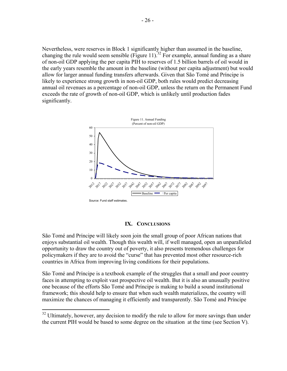Nevertheless, were reserves in Block 1 significantly higher than assumed in the baseline, changing the rule would seem sensible (Figure 11).<sup>32</sup> For example, annual funding as a share of non-oil GDP applying the per capita PIH to reserves of 1.5 billion barrels of oil would in the early years resemble the amount in the baseline (without per capita adjustment) but would allow for larger annual funding transfers afterwards. Given that São Tomé and Príncipe is likely to experience strong growth in non-oil GDP, both rules would predict decreasing annual oil revenues as a percentage of non-oil GDP, unless the return on the Permanent Fund exceeds the rate of growth of non-oil GDP, which is unlikely until production fades significantly.



#### **IX. CONCLUSIONS**

São Tomé and Príncipe will likely soon join the small group of poor African nations that enjoys substantial oil wealth. Though this wealth will, if well managed, open an unparalleled opportunity to draw the country out of poverty, it also presents tremendous challenges for policymakers if they are to avoid the "curse" that has prevented most other resource-rich countries in Africa from improving living conditions for their populations.

São Tomé and Príncipe is a textbook example of the struggles that a small and poor country faces in attempting to exploit vast prospective oil wealth. But it is also an unusually positive one because of the efforts São Tomé and Príncipe is making to build a sound institutional framework; this should help to ensure that when such wealth materializes, the country will maximize the chances of managing it efficiently and transparently. São Tomé and Príncipe

 $32$  Ultimately, however, any decision to modify the rule to allow for more savings than under the current PIH would be based to some degree on the situation at the time (see Section V).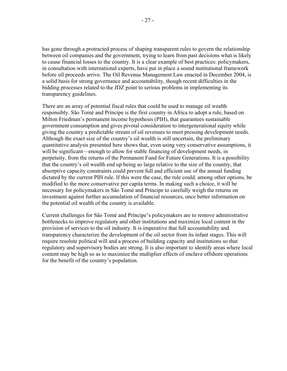has gone through a protracted process of shaping transparent rules to govern the relationship between oil companies and the government, trying to learn from past decisions what is likely to cause financial losses to the country. It is a clear example of best practices: policymakers, in consultation with international experts, have put in place a sound institutional framework before oil proceeds arrive. The Oil Revenue Management Law enacted in December 2004, is a solid basis for strong governance and accountability, though recent difficulties in the bidding processes related to the JDZ point to serious problems in implementing its transparency guidelines.

There are an array of potential fiscal rules that could be used to manage oil wealth responsibly. São Tomé and Príncipe is the first country in Africa to adopt a rule, based on Milton Friedman's permanent income hypothesis (PIH), that guarantees sustainable government consumption and gives pivotal consideration to intergenerational equity while giving the country a predictable stream of oil revenues to meet pressing development needs. Although the exact size of the country's oil wealth is still uncertain, the preliminary quantitative analysis presented here shows that, even using very conservative assumptions, it will be significant—enough to allow for stable financing of development needs, in perpetuity, from the returns of the Permanent Fund for Future Generations. It is a possibility that the country's oil wealth end up being so large relative to the size of the country, that absorptive capacity constraints could prevent full and efficient use of the annual funding dictated by the current PIH rule. If this were the case, the rule could, among other options, be modified to the more conservative per capita terms. In making such a choice, it will be necessary for policymakers in São Tomé and Príncipe to carefully weigh the returns on investment against further accumulation of financial resources, once better information on the potential oil wealth of the country is available.

Current challenges for São Tomé and Príncipe's policymakers are to remove administrative bottlenecks to improve regulatory and other institutions and maximize local content in the provision of services to the oil industry. It is imperative that full accountability and transparency characterize the development of the oil sector from its infant stages. This will require resolute political will and a process of building capacity and institutions so that regulatory and supervisory bodies are strong. It is also important to identify areas where local content may be high so as to maximize the multiplier effects of enclave offshore operations for the benefit of the country's population.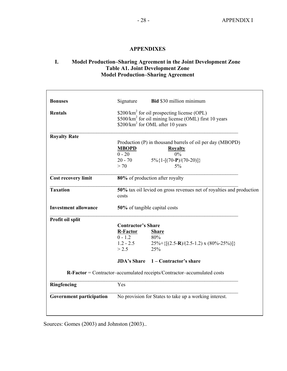#### **APPENDIXES**

#### **I. Model Production–Sharing Agreement in the Joint Development Zone Table A1. Joint Development Zone Model Production–Sharing Agreement**

| <b>Bonuses</b>                                                          | Signature                                                                                                                                                                    | <b>Bid \$30 million minimum</b>                                                      |  |  |  |  |
|-------------------------------------------------------------------------|------------------------------------------------------------------------------------------------------------------------------------------------------------------------------|--------------------------------------------------------------------------------------|--|--|--|--|
| <b>Rentals</b>                                                          | \$200/km <sup>2</sup> for oil prospecting license (OPL)<br>\$500/km <sup>2</sup> for oil mining license (OML) first 10 years<br>\$200/km <sup>2</sup> for OML after 10 years |                                                                                      |  |  |  |  |
| <b>Royalty Rate</b>                                                     |                                                                                                                                                                              |                                                                                      |  |  |  |  |
|                                                                         | <b>MBOPD</b><br>$0 - 20$                                                                                                                                                     | Production (P) in thousand barrels of oil per day (MBOPD)<br><b>Royalty</b><br>$0\%$ |  |  |  |  |
|                                                                         | $20 - 70$                                                                                                                                                                    | $5\%$ {1-[(70-P)/(70-20)]}                                                           |  |  |  |  |
|                                                                         | > 70                                                                                                                                                                         | $5\%$                                                                                |  |  |  |  |
| <b>Cost recovery limit</b>                                              |                                                                                                                                                                              | 80% of production after royalty                                                      |  |  |  |  |
| <b>Taxation</b>                                                         | 50% tax oil levied on gross revenues net of royalties and production<br>costs                                                                                                |                                                                                      |  |  |  |  |
| <b>Investment allowance</b>                                             | 50% of tangible capital costs                                                                                                                                                |                                                                                      |  |  |  |  |
| Profit oil split                                                        |                                                                                                                                                                              |                                                                                      |  |  |  |  |
|                                                                         | <b>Contractor's Share</b>                                                                                                                                                    |                                                                                      |  |  |  |  |
|                                                                         | R-Factor                                                                                                                                                                     | <b>Share</b>                                                                         |  |  |  |  |
|                                                                         | $0 - 1.2$                                                                                                                                                                    | 80%                                                                                  |  |  |  |  |
|                                                                         | $1.2 - 2.5$                                                                                                                                                                  | $25\% + \{[(2.5-R)/(2.5-1.2) \times (80\% - 25\%)]\}$                                |  |  |  |  |
|                                                                         | > 2.5                                                                                                                                                                        | 25%                                                                                  |  |  |  |  |
|                                                                         |                                                                                                                                                                              | JDA's Share 1 – Contractor's share                                                   |  |  |  |  |
| R-Factor = Contractor-accumulated receipts/Contractor-accumulated costs |                                                                                                                                                                              |                                                                                      |  |  |  |  |
| Ringfencing                                                             | Yes                                                                                                                                                                          |                                                                                      |  |  |  |  |
| <b>Government participation</b>                                         |                                                                                                                                                                              | No provision for States to take up a working interest.                               |  |  |  |  |
|                                                                         |                                                                                                                                                                              |                                                                                      |  |  |  |  |

Sources: Gomes (2003) and Johnston (2003)..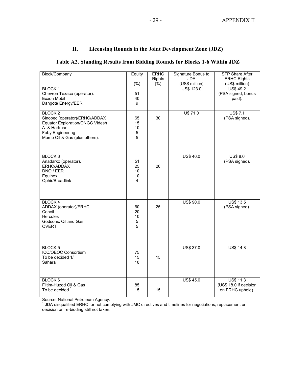#### **II. Licensing Rounds in the Joint Development Zone (JDZ)**

#### **Table A2. Standing Results from Bidding Rounds for Blocks 1-6 Within JDZ**

| Block/Company                                                                                                                                                 | Equity                             | <b>ERHC</b><br><b>Rights</b> | Signature Bonus to<br><b>JDA</b>    | <b>STP Share After</b><br><b>ERHC Rights</b>                       |
|---------------------------------------------------------------------------------------------------------------------------------------------------------------|------------------------------------|------------------------------|-------------------------------------|--------------------------------------------------------------------|
| <b>BLOCK1</b><br>Chevron Texaco (operator).<br>Exxon Mobil<br>Dangote Energy/EER                                                                              | (% )<br>51<br>40<br>9              | $(\frac{6}{6})$              | (US\$ million)<br><b>US\$ 123.0</b> | (US\$ million)<br><b>US\$ 49.2</b><br>(PSA signed, bonus<br>paid). |
| <b>BLOCK2</b><br>Sinopec (operator)/ERHC/ADDAX<br><b>Equator Exploration/ONGC Videsh</b><br>A. & Hartman<br>Foby Engineering<br>Momo Oil & Gas (plus others). | 65<br>15<br>10<br>$\mathbf 5$<br>5 | 30                           | U\$ 71.0                            | <b>US\$7.1</b><br>(PSA signed).                                    |
| <b>BLOCK3</b><br>Anadarko (operator).<br>ERHC/ADDAX<br>DNO / EER<br>Equinox<br>Ophir/Broadlink                                                                | 51<br>25<br>10<br>10<br>4          | 20                           | <b>US\$ 40.0</b>                    | <b>US\$ 8.0</b><br>(PSA signed).                                   |
| <b>BLOCK4</b><br>ADDAX (operator)/ERHC<br>Conoil<br>Hercules<br>Godsonic Oil and Gas<br><b>OVERT</b>                                                          | 60<br>20<br>10<br>$\mathbf 5$<br>5 | 25                           | US\$ 90.0                           | <b>US\$ 13.5</b><br>(PSA signed).                                  |
| BLOCK <sub>5</sub><br><b>ICC/OEOC Consortium</b><br>To be decided 1/<br>Sahara                                                                                | 75<br>15<br>10                     | 15                           | <b>US\$ 37.0</b>                    | <b>US\$ 14.8</b>                                                   |
| BLOCK <sub>6</sub><br>Filtim-Huzod Oil & Gas<br>To be decided <sup>1</sup>                                                                                    | 85<br>15                           | 15                           | <b>US\$ 45.0</b>                    | <b>US\$ 11.3</b><br>(US\$ 18.0 if decision<br>on ERHC upheld).     |

Source: National Petroleum Agency. 1 JDA disqualified ERHC for not complying with JMC directives and timelines for negotiations; replacement or decision on re-bidding still not taken.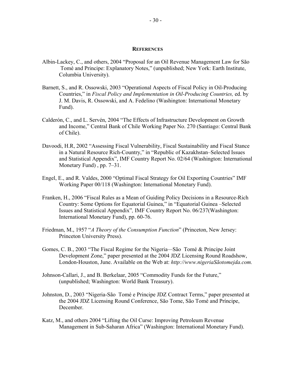#### **REFERENCES**

- Albin-Lackey, C., and others, 2004 "Proposal for an Oil Revenue Management Law for São Tomé and Principe: Explanatory Notes," (unpublished; New York: Earth Institute, Columbia University).
- Barnett, S., and R. Ossowski, 2003 "Operational Aspects of Fiscal Policy in Oil-Producing Countries," in *Fiscal Policy and Implementation in Oil-Producing Countries,* ed. by J. M. Davis, R. Ossowski, and A. Fedelino (Washington: International Monetary Fund).
- Calderón, C., and L. Servén, 2004 "The Effects of Infrastructure Development on Growth and Income," Central Bank of Chile Working Paper No. 270 (Santiago: Central Bank of Chile).
- Davoodi, H.R, 2002 "Assessing Fiscal Vulnerability, Fiscal Sustainability and Fiscal Stance in a Natural Resource Rich-Country," in "Republic of Kazakhstan–Selected Issues and Statistical Appendix", IMF Country Report No. 02/64 (Washington: International Monetary Fund) , pp. 7–31.
- Engel, E., and R. Valdes, 2000 "Optimal Fiscal Strategy for Oil Exporting Countries" IMF Working Paper 00/118 (Washington: International Monetary Fund).
- Franken, H., 2006 "Fiscal Rules as a Mean of Guiding Policy Decisions in a Resource-Rich Country: Some Options for Equatorial Guinea," in "Equatorial Guinea –Selected Issues and Statistical Appendix"*,* IMF Country Report No. 06/237(Washington: International Monetary Fund), pp. 60-76.
- Friedman, M., 1957 "*A Theory of the Consumption Function*" (Princeton, New Jersey: Princeton University Press).
- Gomes, C. B., 2003 "The Fiscal Regime for the Nigeria*—*São Tomé & Principe Joint Development Zone," paper presented at the 2004 JDZ Licensing Round Roadshow, London-Houston, June. Available on the Web at: *[http://www.nigeriaSãotomejda.com.](http://www.nigeriaS�otomejda.com)*
- Johnson-Callari, J., and B. Berkelaar, 2005 "Commodity Funds for the Future," (unpublished; Washington: World Bank Treasury).
- Johnston, D., 2003 "Nigeria-São Tomé e Principe JDZ Contract Terms," paper presented at the 2004 JDZ Licensing Round Conference, São Tome, São Tomé and Príncipe, December.
- Katz, M., and others 2004 "Lifting the Oil Curse: Improving Petroleum Revenue Management in Sub-Saharan Africa" (Washington: International Monetary Fund).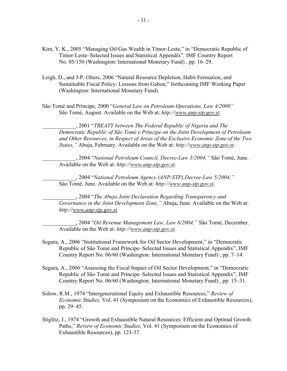- Kim, Y. K., 2005 "Managing Oil/Gas Wealth in Timor-Leste," in "Democratic Republic of Timor-Leste–Selected Issues and Statistical Appendix"*,* IMF Country Report No. 05/150 (Washington: International Monetary Fund) , pp. 16–29.
- Leigh, D., and J-P. Olters, 2006 "Natural Resource Depletion, Habit Formation, and Sustainable Fiscal Policy: Lessons from Gabon," forthcoming IMF Working Paper (Washington: International Monetary Fund).
- São Tomé and Príncipe, 2000 "*General Law on Petroleum Operations, Law 4/2000"* São Tomé, August. Available on the Web at: *[http://www.anp-stp.gov.st.](http://www.anp-stp.gov.st)*

\_\_\_\_\_\_\_\_\_\_\_\_, 2001 "*TREATY between The Federal Republic of Nigeria and The Democratic Republic of São Tomé e Príncipe on the Joint Development of Petroleum and Other Resources, in Respect of Areas of the Exclusive Economic Zone of the Two States,"* Abuja, February. Available on the Web at: *<http://www.anp-stp.gov.st>*.

\_\_\_\_\_\_\_\_\_\_\_\_, 2004 "*National Petroleum Council, Decree-Law 3/2004,"* São Tomé, June. Available on the Web at: *<http://www.anp-stp.gov.st>*.

\_\_\_\_\_\_\_\_\_\_\_\_, 2004 "*National Petroleum Agency (ANP-STP),Decree-Law 5/2004,"* São Tomé, June. Available on the Web at: *<http://www.anp-stp.gov.st>*.

\_\_\_\_\_\_\_\_\_\_\_\_, 2004 "*The Abuja Joint Declaration Regarding Transparency and Governance in the Joint Development Zone,"* Abuja, June. Available on the Web at: *<http://www.anp-stp.gov.st>*.

\_\_\_\_\_\_\_\_\_\_\_\_, 2004 "*Oil Revenue Management Law, Law 8/2004,"* São Tomé, December. Available on the Web at: *<http://www.anp-stp.gov.st>*.

- Segura, A., 2006 "Institutional Framework for Oil Sector Development," in "Democratic Republic of São Tomé and Príncipe–Selected Issues and Statistical Appendix", IMF Country Report No. 06/60 (Washington: International Monetary Fund) , pp. 7–14.
- Segura, A., 2006 "Assessing the Fiscal Impact of Oil Sector Development," in "Democratic Republic of São Tomé and Príncipe–Selected Issues and Statistical Appendix"*,* IMF Country Report No. 06/60 (Washington: International Monetary Fund) , pp. 15–31.
- Solow, R.M., 1974 "Intergenerational Equity and Exhaustible Resources," *Review of Economic Studies,* Vol. 41 (Symposium on the Economics of Exhaustible Resources), pp. 29–45.
- Stiglitz, J., 1974 "Growth and Exhaustible Natural Resources: Efficient and Optimal Growth Paths," *Review of Economic Studies,* Vol. 41 (Symposium on the Economics of Exhaustible Resources), pp. 123-37.